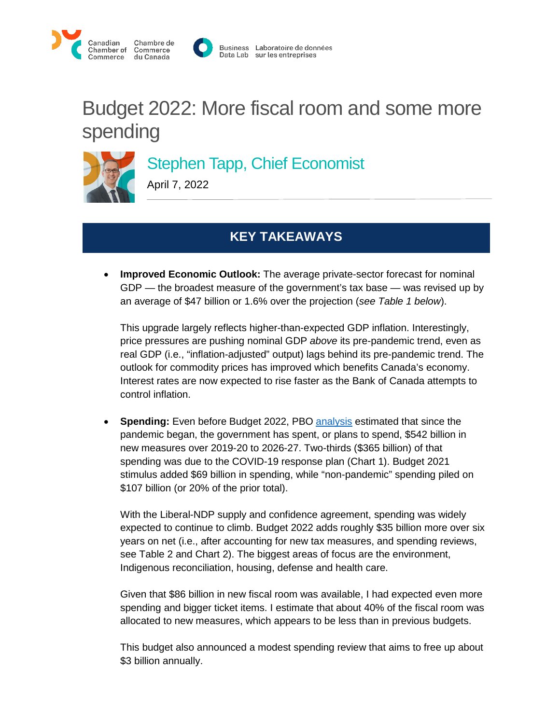



# Budget 2022: More fiscal room and some more spending

## Stephen Tapp, Chief Economist

April 7, 2022

## **KEY TAKEAWAYS**

• **Improved Economic Outlook:** The average private-sector forecast for nominal GDP — the broadest measure of the government's tax base — was revised up by an average of \$47 billion or 1.6% over the projection (*see Table 1 below*).

This upgrade largely reflects higher-than-expected GDP inflation. Interestingly, price pressures are pushing nominal GDP *above* its pre-pandemic trend, even as real GDP (i.e., "inflation-adjusted" output) lags behind its pre-pandemic trend. The outlook for commodity prices has improved which benefits Canada's economy. Interest rates are now expected to rise faster as the Bank of Canada attempts to control inflation.

• **Spending:** Even before Budget 2022, PBO [analysis](https://distribution-a617274656661637473.pbo-dpb.ca/ff13c97560511d1fbfa1b236eb39c8b55062b5e96fce29840817d8469d4b84e5) estimated that since the pandemic began, the government has spent, or plans to spend, \$542 billion in new measures over 2019-20 to 2026-27. Two-thirds (\$365 billion) of that spending was due to the COVID-19 response plan (Chart 1). Budget 2021 stimulus added \$69 billion in spending, while "non-pandemic" spending piled on \$107 billion (or 20% of the prior total).

With the Liberal-NDP supply and confidence agreement, spending was widely expected to continue to climb. Budget 2022 adds roughly \$35 billion more over six years on net (i.e., after accounting for new tax measures, and spending reviews, see Table 2 and Chart 2). The biggest areas of focus are the environment, Indigenous reconciliation, housing, defense and health care.

Given that \$86 billion in new fiscal room was available, I had expected even more spending and bigger ticket items. I estimate that about 40% of the fiscal room was allocated to new measures, which appears to be less than in previous budgets.

This budget also announced a modest spending review that aims to free up about \$3 billion annually.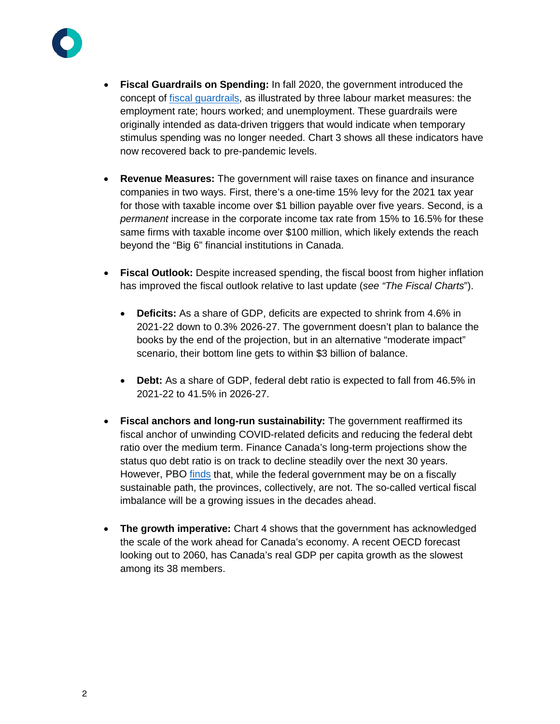

- **Fiscal Guardrails on Spending:** In fall 2020, the government introduced the concept of [fiscal guardrails,](https://www.budget.gc.ca/fes-eea/2020/themes/prudent-fiscal-plan-plan-budgetaire-prudent-en.html) as illustrated by three labour market measures: the employment rate; hours worked; and unemployment. These guardrails were originally intended as data-driven triggers that would indicate when temporary stimulus spending was no longer needed. Chart 3 shows all these indicators have now recovered back to pre-pandemic levels.
- **Revenue Measures:** The government will raise taxes on finance and insurance companies in two ways. First, there's a one-time 15% levy for the 2021 tax year for those with taxable income over \$1 billion payable over five years. Second, is a *permanent* increase in the corporate income tax rate from 15% to 16.5% for these same firms with taxable income over \$100 million, which likely extends the reach beyond the "Big 6" financial institutions in Canada.
- **Fiscal Outlook:** Despite increased spending, the fiscal boost from higher inflation has improved the fiscal outlook relative to last update (*see "The Fiscal Charts*").
	- **Deficits:** As a share of GDP, deficits are expected to shrink from 4.6% in 2021-22 down to 0.3% 2026-27. The government doesn't plan to balance the books by the end of the projection, but in an alternative "moderate impact" scenario, their bottom line gets to within \$3 billion of balance.
	- **Debt:** As a share of GDP, federal debt ratio is expected to fall from 46.5% in 2021-22 to 41.5% in 2026-27.
- **Fiscal anchors and long-run sustainability:** The government reaffirmed its fiscal anchor of unwinding COVID-related deficits and reducing the federal debt ratio over the medium term. Finance Canada's long-term projections show the status quo debt ratio is on track to decline steadily over the next 30 years. However, PBO [finds](https://distribution-a617274656661637473.pbo-dpb.ca/93a1e3bc1b4432c0b2eac192241b866d36c048b5efc1aa8224e15364551f0c8e) that, while the federal government may be on a fiscally sustainable path, the provinces, collectively, are not. The so-called vertical fiscal imbalance will be a growing issues in the decades ahead.
- **The growth imperative:** Chart 4 shows that the government has acknowledged the scale of the work ahead for Canada's economy. A recent OECD forecast looking out to 2060, has Canada's real GDP per capita growth as the slowest among its 38 members.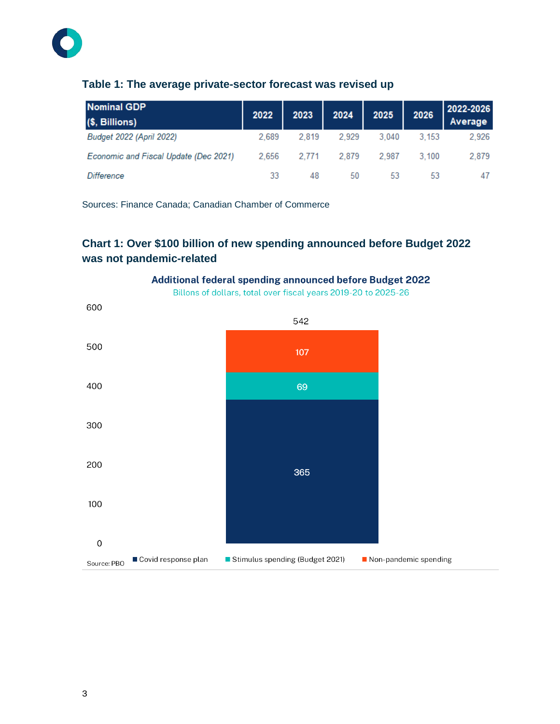#### **Table 1: The average private-sector forecast was revised up**

| <b>Nominal GDP</b><br>(\$, Billions)  | 2022  | 2023  | 2024  | 2025  | 2026  | 2022-2026<br>Average |
|---------------------------------------|-------|-------|-------|-------|-------|----------------------|
| Budget 2022 (April 2022)              | 2.689 | 2.819 | 2.929 | 3.040 | 3.153 | 2.926                |
| Economic and Fiscal Update (Dec 2021) | 2.656 | 2.771 | 2.879 | 2.987 | 3.100 | 2,879                |
| Difference                            | 33    | 48    | 50    | 53    | 53    | 47                   |

Sources: Finance Canada; Canadian Chamber of Commerce

### **Chart 1: Over \$100 billion of new spending announced before Budget 2022 was not pandemic-related**



Additional federal spending announced before Budget 2022

Billons of dollars, total over fiscal years 2019-20 to 2025-26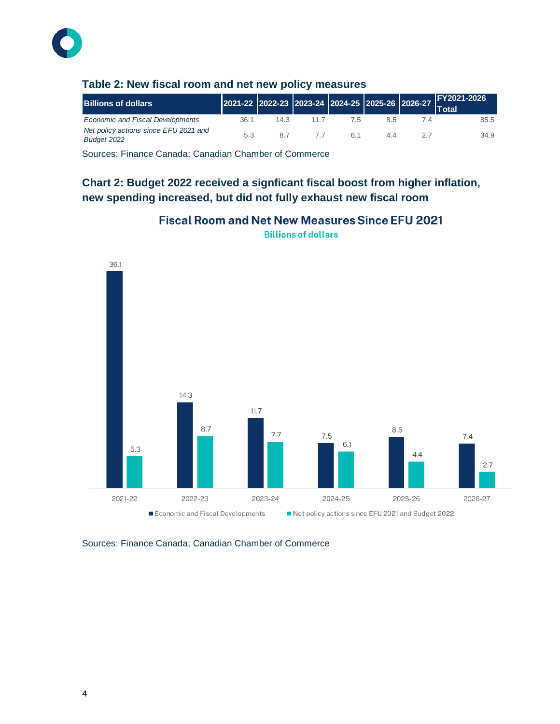

| <b>Billions of dollars</b>                           |      |      |    |    | 2021-22 2022-23 2023-24 2024-25 2025-26 2026-27 Total |
|------------------------------------------------------|------|------|----|----|-------------------------------------------------------|
| <b>Economic and Fiscal Developments</b>              | 36.1 | 14.3 |    | 85 | 85.5                                                  |
| Net policy actions since EFU 2021 and<br>Budget 2022 | 5.3  | 8.7  | 61 | 44 | 34.9                                                  |

#### **Table 2: New fiscal room and net new policy measures**

Sources: Finance Canada; Canadian Chamber of Commerce

#### **Chart 2: Budget 2022 received a signficant fiscal boost from higher inflation, new spending increased, but did not fully exhaust new fiscal room**



**Fiscal Room and Net New Measures Since EFU 2021** 

**Billions of dollars** 

Sources: Finance Canada; Canadian Chamber of Commerce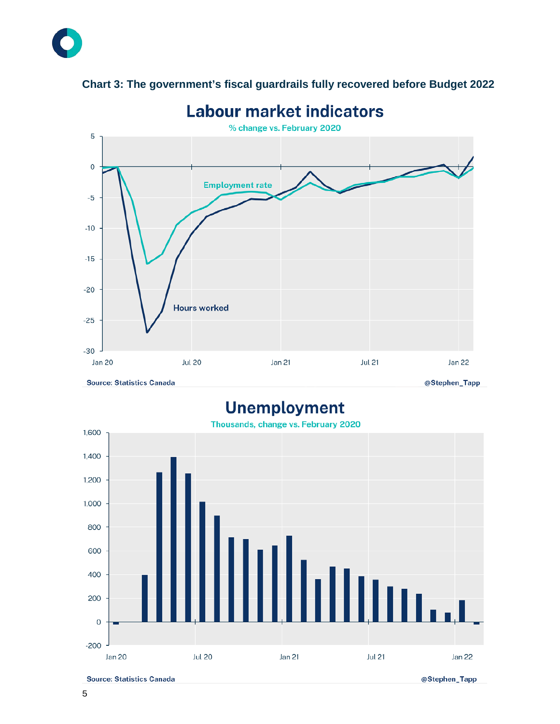

#### **Chart 3: The government's fiscal guardrails fully recovered before Budget 2022**

**Unemployment** 



**Source: Statistics Canada** 

@Stephen\_Tapp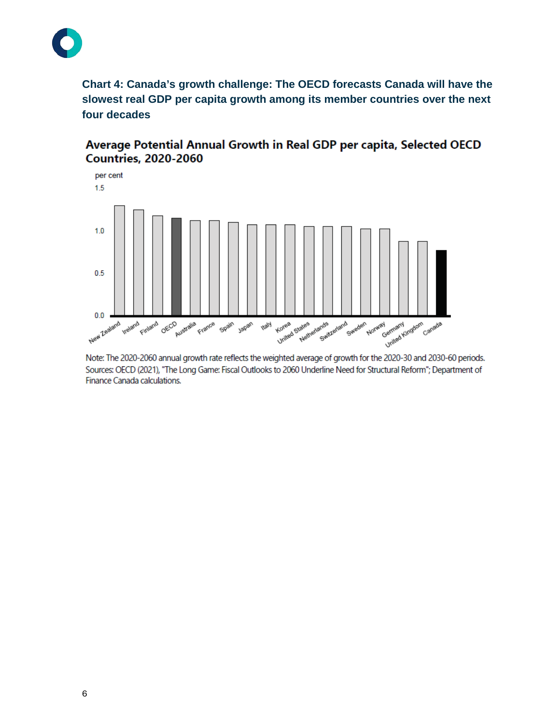

**Chart 4: Canada's growth challenge: The OECD forecasts Canada will have the slowest real GDP per capita growth among its member countries over the next four decades**

Average Potential Annual Growth in Real GDP per capita, Selected OECD **Countries, 2020-2060** 



Note: The 2020-2060 annual growth rate reflects the weighted average of growth for the 2020-30 and 2030-60 periods. Sources: OECD (2021), "The Long Game: Fiscal Outlooks to 2060 Underline Need for Structural Reform"; Department of Finance Canada calculations.